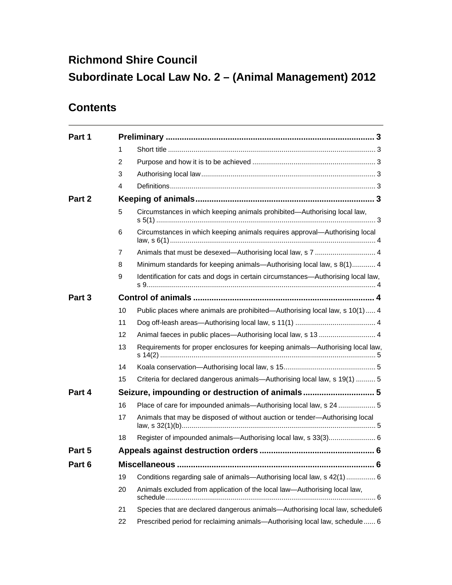# **Richmond Shire Council Subordinate Local Law No. 2 – (Animal Management) 2012**

## **Contents**

| Part 1 |    |                                                                                  |  |  |
|--------|----|----------------------------------------------------------------------------------|--|--|
|        | 1  |                                                                                  |  |  |
|        | 2  |                                                                                  |  |  |
|        | 3  |                                                                                  |  |  |
|        | 4  |                                                                                  |  |  |
| Part 2 |    |                                                                                  |  |  |
|        | 5  | Circumstances in which keeping animals prohibited—Authorising local law,         |  |  |
|        | 6  | Circumstances in which keeping animals requires approval-Authorising local       |  |  |
|        | 7  | Animals that must be desexed-Authorising local law, s 7  4                       |  |  |
|        | 8  | Minimum standards for keeping animals—Authorising local law, s 8(1) 4            |  |  |
|        | 9  | Identification for cats and dogs in certain circumstances-Authorising local law, |  |  |
| Part 3 |    |                                                                                  |  |  |
|        | 10 | Public places where animals are prohibited—Authorising local law, s 10(1) 4      |  |  |
|        | 11 |                                                                                  |  |  |
|        | 12 | Animal faeces in public places—Authorising local law, s 13  4                    |  |  |
|        | 13 | Requirements for proper enclosures for keeping animals-Authorising local law,    |  |  |
|        | 14 |                                                                                  |  |  |
|        | 15 | Criteria for declared dangerous animals-Authorising local law, s 19(1)  5        |  |  |
| Part 4 |    | Seizure, impounding or destruction of animals 5                                  |  |  |
|        | 16 | Place of care for impounded animals—Authorising local law, s 24  5               |  |  |
|        | 17 | Animals that may be disposed of without auction or tender-Authorising local      |  |  |
|        | 18 | Register of impounded animals-Authorising local law, s 33(3) 6                   |  |  |
| Part 5 |    |                                                                                  |  |  |
| Part 6 |    |                                                                                  |  |  |
|        | 19 | Conditions regarding sale of animals—Authorising local law, s 42(1)  6           |  |  |
|        | 20 | Animals excluded from application of the local law-Authorising local law,        |  |  |
|        | 21 | Species that are declared dangerous animals-Authorising local law, schedule6     |  |  |
|        | 22 | Prescribed period for reclaiming animals-Authorising local law, schedule  6      |  |  |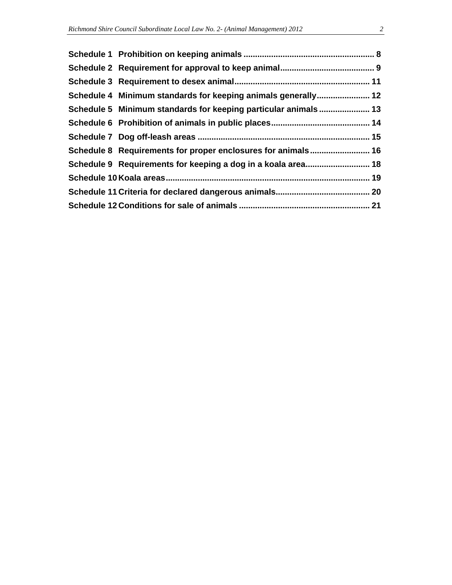| Schedule 4 Minimum standards for keeping animals generally 12  |  |
|----------------------------------------------------------------|--|
| Schedule 5 Minimum standards for keeping particular animals 13 |  |
|                                                                |  |
|                                                                |  |
| Schedule 8 Requirements for proper enclosures for animals 16   |  |
| Schedule 9 Requirements for keeping a dog in a koala area 18   |  |
|                                                                |  |
|                                                                |  |
|                                                                |  |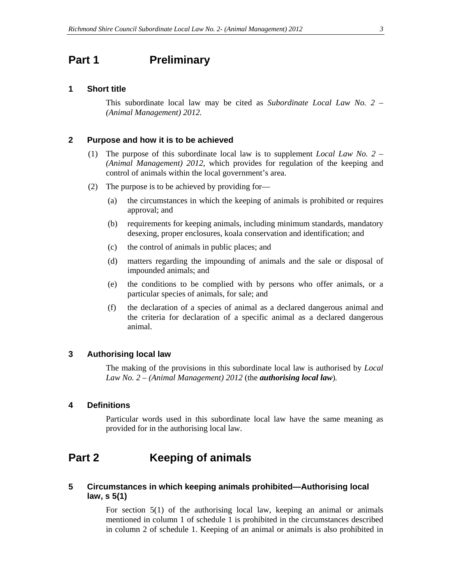### **Part 1** Preliminary

### **1 Short title**

This subordinate local law may be cited as *Subordinate Local Law No. 2 – (Animal Management) 2012.*

### **2 Purpose and how it is to be achieved**

- (1) The purpose of this subordinate local law is to supplement *Local Law No. 2 (Animal Management) 2012*, which provides for regulation of the keeping and control of animals within the local government's area.
- (2) The purpose is to be achieved by providing for—
	- (a) the circumstances in which the keeping of animals is prohibited or requires approval; and
	- (b) requirements for keeping animals, including minimum standards, mandatory desexing, proper enclosures, koala conservation and identification; and
	- (c) the control of animals in public places; and
	- (d) matters regarding the impounding of animals and the sale or disposal of impounded animals; and
	- (e) the conditions to be complied with by persons who offer animals, or a particular species of animals, for sale; and
	- (f) the declaration of a species of animal as a declared dangerous animal and the criteria for declaration of a specific animal as a declared dangerous animal.

#### **3 Authorising local law**

The making of the provisions in this subordinate local law is authorised by *Local Law No. 2 – (Animal Management) 2012* (the *authorising local law*)*.* 

### **4 Definitions**

Particular words used in this subordinate local law have the same meaning as provided for in the authorising local law.

### **Part 2 Keeping of animals**

### **5 Circumstances in which keeping animals prohibited—Authorising local law, s 5(1)**

For section 5(1) of the authorising local law, keeping an animal or animals mentioned in column 1 of schedule 1 is prohibited in the circumstances described in column 2 of schedule 1. Keeping of an animal or animals is also prohibited in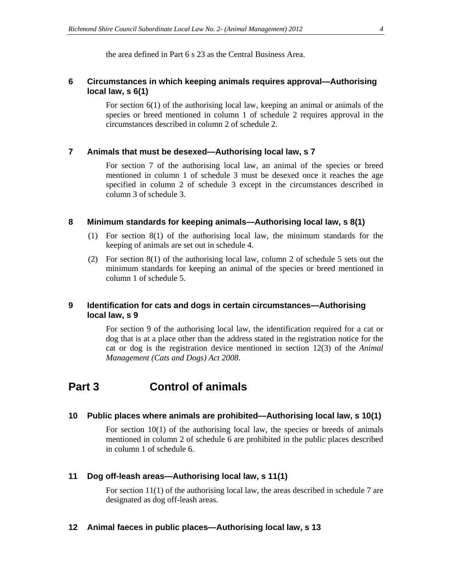the area defined in Part 6 s 23 as the Central Business Area.

### **6 Circumstances in which keeping animals requires approval—Authorising local law, s 6(1)**

For section 6(1) of the authorising local law, keeping an animal or animals of the species or breed mentioned in column 1 of schedule 2 requires approval in the circumstances described in column 2 of schedule 2.

### **7 Animals that must be desexed—Authorising local law, s 7**

For section 7 of the authorising local law, an animal of the species or breed mentioned in column 1 of schedule 3 must be desexed once it reaches the age specified in column 2 of schedule 3 except in the circumstances described in column 3 of schedule 3.

#### **8 Minimum standards for keeping animals—Authorising local law, s 8(1)**

- (1) For section 8(1) of the authorising local law, the minimum standards for the keeping of animals are set out in schedule 4.
- (2) For section 8(1) of the authorising local law, column 2 of schedule 5 sets out the minimum standards for keeping an animal of the species or breed mentioned in column 1 of schedule 5.

### **9 Identification for cats and dogs in certain circumstances—Authorising local law, s 9**

For section 9 of the authorising local law, the identification required for a cat or dog that is at a place other than the address stated in the registration notice for the cat or dog is the registration device mentioned in section 12(3) of the *Animal Management (Cats and Dogs) Act 2008*.

### **Part 3 Control of animals**

### **10 Public places where animals are prohibited—Authorising local law, s 10(1)**

For section 10(1) of the authorising local law, the species or breeds of animals mentioned in column 2 of schedule 6 are prohibited in the public places described in column 1 of schedule 6.

### **11 Dog off-leash areas—Authorising local law, s 11(1)**

For section 11(1) of the authorising local law, the areas described in schedule 7 are designated as dog off-leash areas.

#### **12 Animal faeces in public places—Authorising local law, s 13**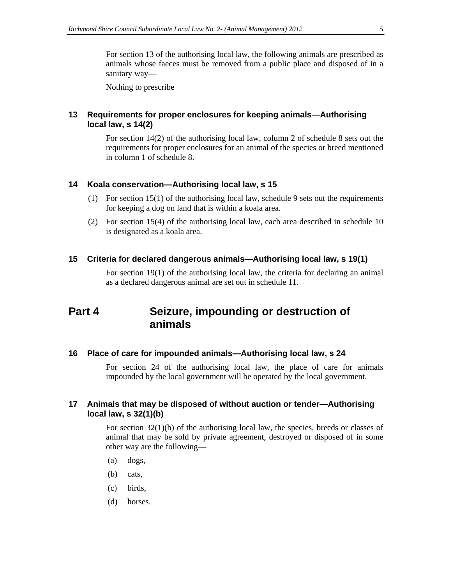For section 13 of the authorising local law, the following animals are prescribed as animals whose faeces must be removed from a public place and disposed of in a sanitary way—

Nothing to prescribe

### **13 Requirements for proper enclosures for keeping animals—Authorising local law, s 14(2)**

For section 14(2) of the authorising local law, column 2 of schedule 8 sets out the requirements for proper enclosures for an animal of the species or breed mentioned in column 1 of schedule 8.

#### **14 Koala conservation—Authorising local law, s 15**

- (1) For section 15(1) of the authorising local law, schedule 9 sets out the requirements for keeping a dog on land that is within a koala area.
- (2) For section 15(4) of the authorising local law, each area described in schedule 10 is designated as a koala area.

#### **15 Criteria for declared dangerous animals—Authorising local law, s 19(1)**

For section 19(1) of the authorising local law, the criteria for declaring an animal as a declared dangerous animal are set out in schedule 11.

### **Part 4 Seizure, impounding or destruction of animals**

### **16 Place of care for impounded animals—Authorising local law, s 24**

For section 24 of the authorising local law, the place of care for animals impounded by the local government will be operated by the local government.

### **17 Animals that may be disposed of without auction or tender—Authorising local law, s 32(1)(b)**

For section  $32(1)(b)$  of the authorising local law, the species, breeds or classes of animal that may be sold by private agreement, destroyed or disposed of in some other way are the following—

- (a) dogs,
- (b) cats,
- (c) birds,
- (d) horses.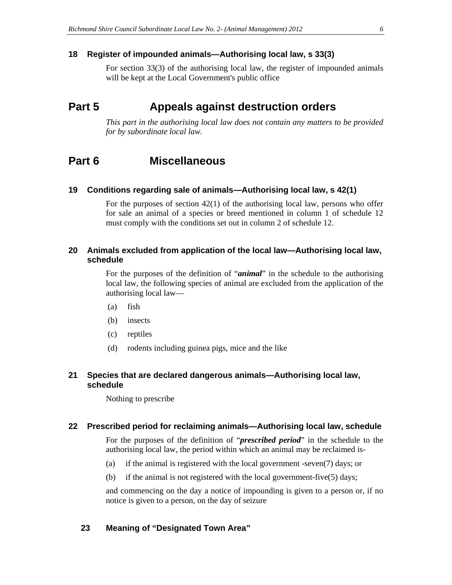### **18 Register of impounded animals—Authorising local law, s 33(3)**

For section 33(3) of the authorising local law, the register of impounded animals will be kept at the Local Government's public office

### **Part 5 Appeals against destruction orders**

*This part in the authorising local law does not contain any matters to be provided for by subordinate local law.* 

### **Part 6 Miscellaneous**

### **19 Conditions regarding sale of animals—Authorising local law, s 42(1)**

For the purposes of section 42(1) of the authorising local law, persons who offer for sale an animal of a species or breed mentioned in column 1 of schedule 12 must comply with the conditions set out in column 2 of schedule 12.

### **20 Animals excluded from application of the local law—Authorising local law, schedule**

For the purposes of the definition of "*animal*" in the schedule to the authorising local law, the following species of animal are excluded from the application of the authorising local law—

- (a) fish
- (b) insects
- (c) reptiles
- (d) rodents including guinea pigs, mice and the like

### **21 Species that are declared dangerous animals—Authorising local law, schedule**

Nothing to prescribe

#### **22 Prescribed period for reclaiming animals—Authorising local law, schedule**

For the purposes of the definition of "*prescribed period*" in the schedule to the authorising local law, the period within which an animal may be reclaimed is-

- (a) if the animal is registered with the local government -seven(7) days; or
- (b) if the animal is not registered with the local government-five(5) days;

and commencing on the day a notice of impounding is given to a person or, if no notice is given to a person, on the day of seizure

### **23 Meaning of "Designated Town Area"**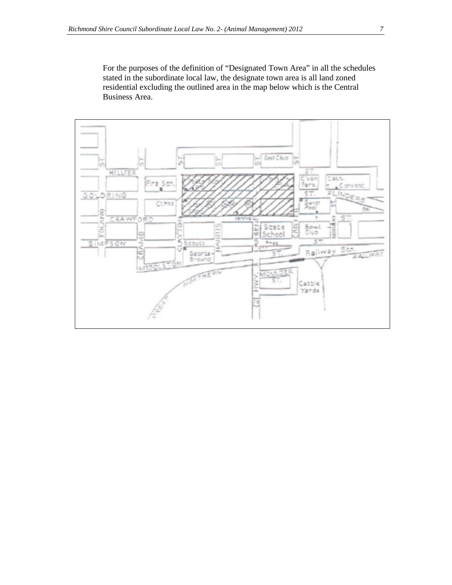For the purposes of the definition of "Designated Town Area" in all the schedules stated in the subordinate local law, the designate town area is all land zoned residential excluding the outlined area in the map below which is the Central Business Area.

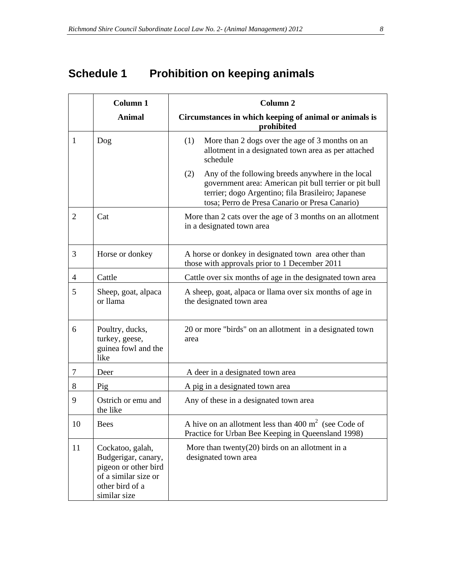# **Schedule 1 Prohibition on keeping animals**

|    | Column 1                                                                                                                   | Column <sub>2</sub>                                                                                                                                                                                                        |  |  |
|----|----------------------------------------------------------------------------------------------------------------------------|----------------------------------------------------------------------------------------------------------------------------------------------------------------------------------------------------------------------------|--|--|
|    | <b>Animal</b>                                                                                                              | Circumstances in which keeping of animal or animals is<br>prohibited                                                                                                                                                       |  |  |
| 1  | Dog                                                                                                                        | More than 2 dogs over the age of 3 months on an<br>(1)<br>allotment in a designated town area as per attached<br>schedule                                                                                                  |  |  |
|    |                                                                                                                            | (2)<br>Any of the following breeds anywhere in the local<br>government area: American pit bull terrier or pit bull<br>terrier; dogo Argentino; fila Brasileiro; Japanese<br>tosa; Perro de Presa Canario or Presa Canario) |  |  |
| 2  | Cat                                                                                                                        | More than 2 cats over the age of 3 months on an allotment<br>in a designated town area                                                                                                                                     |  |  |
| 3  | Horse or donkey                                                                                                            | A horse or donkey in designated town area other than<br>those with approvals prior to 1 December 2011                                                                                                                      |  |  |
| 4  | Cattle                                                                                                                     | Cattle over six months of age in the designated town area                                                                                                                                                                  |  |  |
| 5  | Sheep, goat, alpaca<br>or llama                                                                                            | A sheep, goat, alpaca or llama over six months of age in<br>the designated town area                                                                                                                                       |  |  |
| 6  | Poultry, ducks,<br>turkey, geese,<br>guinea fowl and the<br>like                                                           | 20 or more "birds" on an allotment in a designated town<br>area                                                                                                                                                            |  |  |
| 7  | Deer                                                                                                                       | A deer in a designated town area                                                                                                                                                                                           |  |  |
| 8  | Pig                                                                                                                        | A pig in a designated town area                                                                                                                                                                                            |  |  |
| 9  | Ostrich or emu and<br>the like                                                                                             | Any of these in a designated town area                                                                                                                                                                                     |  |  |
| 10 | Bees                                                                                                                       | A hive on an allotment less than 400 $m2$ (see Code of<br>Practice for Urban Bee Keeping in Queensland 1998)                                                                                                               |  |  |
| 11 | Cockatoo, galah,<br>Budgerigar, canary,<br>pigeon or other bird<br>of a similar size or<br>other bird of a<br>similar size | More than twenty(20) birds on an allotment in a<br>designated town area                                                                                                                                                    |  |  |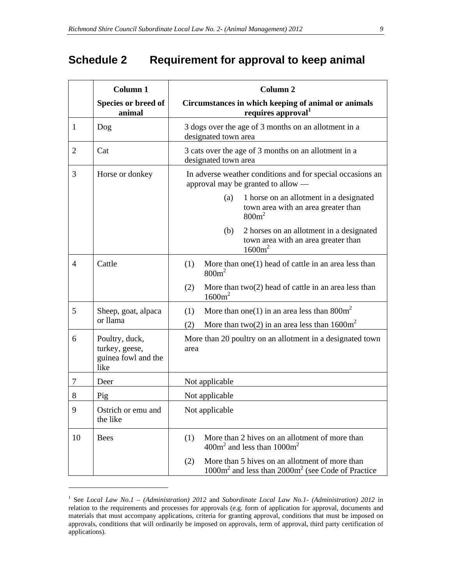## **Schedule 2 Requirement for approval to keep animal**

|                | Column 1                                                        | Column <sub>2</sub>                                                                                            |  |  |
|----------------|-----------------------------------------------------------------|----------------------------------------------------------------------------------------------------------------|--|--|
|                | Species or breed of<br>animal                                   | Circumstances in which keeping of animal or animals<br>requires approval <sup>1</sup>                          |  |  |
| $\mathbf{1}$   | Dog                                                             | 3 dogs over the age of 3 months on an allotment in a<br>designated town area                                   |  |  |
| $\overline{2}$ | Cat                                                             | 3 cats over the age of 3 months on an allotment in a<br>designated town area                                   |  |  |
| 3              | Horse or donkey                                                 | In adverse weather conditions and for special occasions an<br>approval may be granted to allow —               |  |  |
|                |                                                                 | 1 horse on an allotment in a designated<br>(a)<br>town area with an area greater than<br>800m <sup>2</sup>     |  |  |
|                |                                                                 | (b)<br>2 horses on an allotment in a designated<br>town area with an area greater than<br>1600m <sup>2</sup>   |  |  |
| 4              | Cattle                                                          | More than $one(1)$ head of cattle in an area less than<br>(1)<br>$800m^2$                                      |  |  |
|                |                                                                 | More than $two(2)$ head of cattle in an area less than<br>(2)<br>$1600m^2$                                     |  |  |
| 5              | Sheep, goat, alpaca<br>or llama                                 | More than one(1) in an area less than $800m^2$<br>(1)                                                          |  |  |
|                |                                                                 | More than two(2) in an area less than $1600m^2$<br>(2)                                                         |  |  |
| 6              | Poultry, duck,<br>turkey, geese,<br>guinea fowl and the<br>like | More than 20 poultry on an allotment in a designated town<br>area                                              |  |  |
| 7              | Deer                                                            | Not applicable                                                                                                 |  |  |
| 8              | Pig                                                             | Not applicable                                                                                                 |  |  |
| $\mathbf Q$    | Ostrich or emu and<br>the like                                  | Not applicable                                                                                                 |  |  |
| 10             | <b>Bees</b>                                                     | More than 2 hives on an allotment of more than<br>(1)<br>$400m2$ and less than $1000m2$                        |  |  |
|                |                                                                 | More than 5 hives on an allotment of more than<br>(2)<br>$1000m2$ and less than $2000m2$ (see Code of Practice |  |  |

<sup>1</sup> See *Local Law No.1 – (Administration) 2012* and *Subordinate Local Law No.1- (Administration) 2012* in relation to the requirements and processes for approvals (e.g. form of application for approval, documents and materials that must accompany applications, criteria for granting approval, conditions that must be imposed on approvals, conditions that will ordinarily be imposed on approvals, term of approval, third party certification of applications).

 $\overline{a}$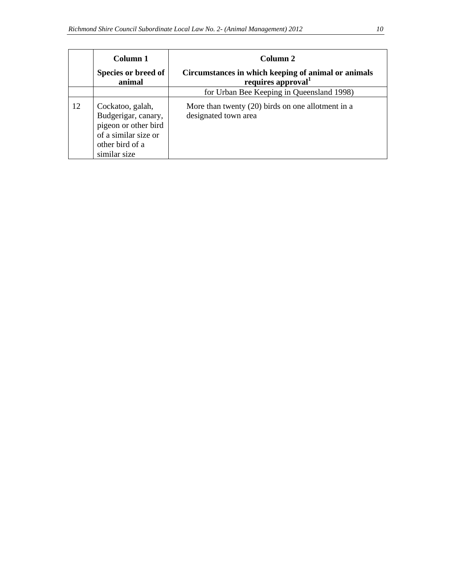|    | Column 1                                                                                                                   | Column 2                                                                              |
|----|----------------------------------------------------------------------------------------------------------------------------|---------------------------------------------------------------------------------------|
|    | Species or breed of<br>animal                                                                                              | Circumstances in which keeping of animal or animals<br>requires approval <sup>1</sup> |
|    |                                                                                                                            | for Urban Bee Keeping in Queensland 1998)                                             |
| 12 | Cockatoo, galah,<br>Budgerigar, canary,<br>pigeon or other bird<br>of a similar size or<br>other bird of a<br>similar size | More than twenty $(20)$ birds on one allotment in a<br>designated town area           |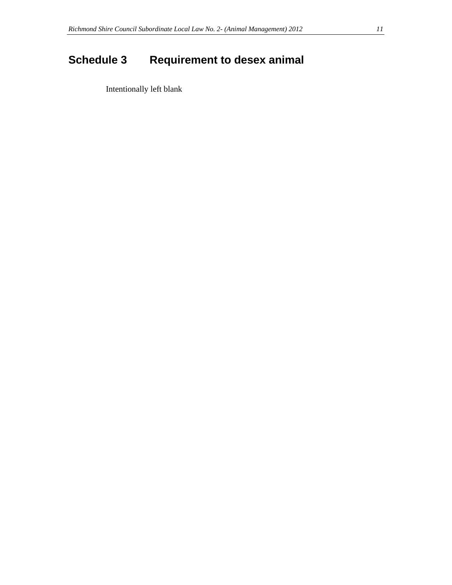# **Schedule 3** Requirement to desex animal

Intentionally left blank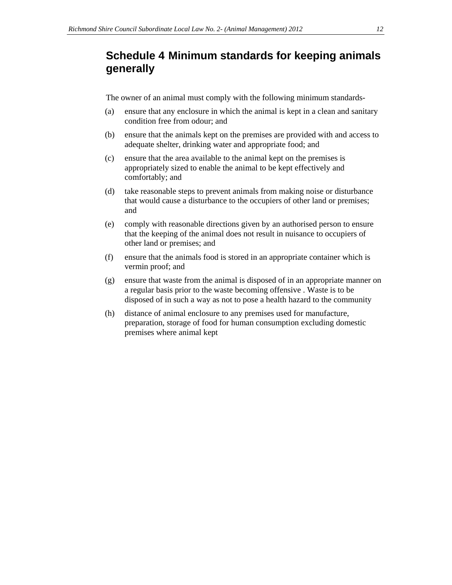### **Schedule 4 Minimum standards for keeping animals generally**

The owner of an animal must comply with the following minimum standards-

- (a) ensure that any enclosure in which the animal is kept in a clean and sanitary condition free from odour; and
- (b) ensure that the animals kept on the premises are provided with and access to adequate shelter, drinking water and appropriate food; and
- (c) ensure that the area available to the animal kept on the premises is appropriately sized to enable the animal to be kept effectively and comfortably; and
- (d) take reasonable steps to prevent animals from making noise or disturbance that would cause a disturbance to the occupiers of other land or premises; and
- (e) comply with reasonable directions given by an authorised person to ensure that the keeping of the animal does not result in nuisance to occupiers of other land or premises; and
- (f) ensure that the animals food is stored in an appropriate container which is vermin proof; and
- (g) ensure that waste from the animal is disposed of in an appropriate manner on a regular basis prior to the waste becoming offensive . Waste is to be disposed of in such a way as not to pose a health hazard to the community
- (h) distance of animal enclosure to any premises used for manufacture, preparation, storage of food for human consumption excluding domestic premises where animal kept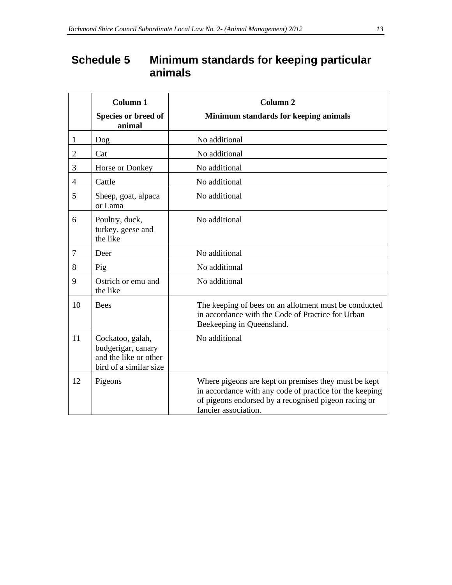## **Schedule 5 Minimum standards for keeping particular animals**

|                | Column 1                                                                                  | Column <sub>2</sub>                                                                                                                                                                             |  |  |
|----------------|-------------------------------------------------------------------------------------------|-------------------------------------------------------------------------------------------------------------------------------------------------------------------------------------------------|--|--|
|                | Species or breed of<br>animal                                                             | Minimum standards for keeping animals                                                                                                                                                           |  |  |
| 1              | Dog                                                                                       | No additional                                                                                                                                                                                   |  |  |
| $\overline{2}$ | Cat                                                                                       | No additional                                                                                                                                                                                   |  |  |
| 3              | Horse or Donkey                                                                           | No additional                                                                                                                                                                                   |  |  |
| $\overline{4}$ | Cattle                                                                                    | No additional                                                                                                                                                                                   |  |  |
| 5              | Sheep, goat, alpaca<br>or Lama                                                            | No additional                                                                                                                                                                                   |  |  |
| 6              | Poultry, duck,<br>turkey, geese and<br>the like                                           | No additional                                                                                                                                                                                   |  |  |
| 7              | Deer                                                                                      | No additional                                                                                                                                                                                   |  |  |
| 8              | Pig                                                                                       | No additional                                                                                                                                                                                   |  |  |
| 9              | Ostrich or emu and<br>the like                                                            | No additional                                                                                                                                                                                   |  |  |
| 10             | <b>Bees</b>                                                                               | The keeping of bees on an allotment must be conducted<br>in accordance with the Code of Practice for Urban<br>Beekeeping in Queensland.                                                         |  |  |
| 11             | Cockatoo, galah,<br>budgerigar, canary<br>and the like or other<br>bird of a similar size | No additional                                                                                                                                                                                   |  |  |
| 12             | Pigeons                                                                                   | Where pigeons are kept on premises they must be kept<br>in accordance with any code of practice for the keeping<br>of pigeons endorsed by a recognised pigeon racing or<br>fancier association. |  |  |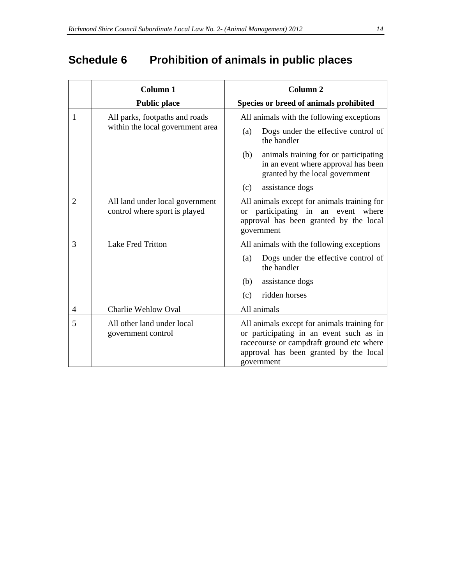# **Schedule 6 Prohibition of animals in public places**

|                | Column <sub>1</sub>                                              | Column <sub>2</sub>                                                                                                                                                                        |
|----------------|------------------------------------------------------------------|--------------------------------------------------------------------------------------------------------------------------------------------------------------------------------------------|
|                | <b>Public place</b>                                              | Species or breed of animals prohibited                                                                                                                                                     |
| 1              | All parks, footpaths and roads                                   | All animals with the following exceptions                                                                                                                                                  |
|                | within the local government area                                 | Dogs under the effective control of<br>(a)<br>the handler                                                                                                                                  |
|                |                                                                  | (b)<br>animals training for or participating<br>in an event where approval has been<br>granted by the local government                                                                     |
|                |                                                                  | (c)<br>assistance dogs                                                                                                                                                                     |
| $\overline{2}$ | All land under local government<br>control where sport is played | All animals except for animals training for<br>participating in an event where<br><sub>or</sub><br>approval has been granted by the local<br>government                                    |
| 3              | <b>Lake Fred Tritton</b>                                         | All animals with the following exceptions                                                                                                                                                  |
|                |                                                                  | Dogs under the effective control of<br>(a)<br>the handler                                                                                                                                  |
|                |                                                                  | (b)<br>assistance dogs                                                                                                                                                                     |
|                |                                                                  | ridden horses<br>(c)                                                                                                                                                                       |
| $\overline{4}$ | Charlie Wehlow Oval                                              | All animals                                                                                                                                                                                |
| 5              | All other land under local<br>government control                 | All animals except for animals training for<br>or participating in an event such as in<br>racecourse or campdraft ground etc where<br>approval has been granted by the local<br>government |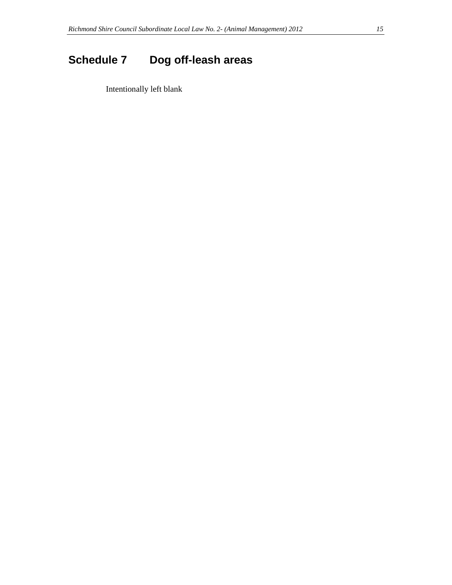# **Schedule 7 Dog off-leash areas**

Intentionally left blank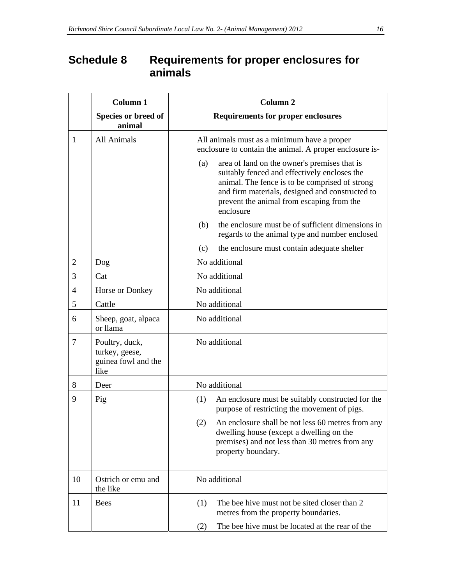## **Schedule 8 Requirements for proper enclosures for animals**

|                | Column 1                                                        | <b>Column 2</b>                                                                                                                                                                                                                                                    |  |
|----------------|-----------------------------------------------------------------|--------------------------------------------------------------------------------------------------------------------------------------------------------------------------------------------------------------------------------------------------------------------|--|
|                | Species or breed of<br>animal                                   | <b>Requirements for proper enclosures</b>                                                                                                                                                                                                                          |  |
| 1              | All Animals                                                     | All animals must as a minimum have a proper<br>enclosure to contain the animal. A proper enclosure is-                                                                                                                                                             |  |
|                |                                                                 | area of land on the owner's premises that is<br>(a)<br>suitably fenced and effectively encloses the<br>animal. The fence is to be comprised of strong<br>and firm materials, designed and constructed to<br>prevent the animal from escaping from the<br>enclosure |  |
|                |                                                                 | the enclosure must be of sufficient dimensions in<br>(b)<br>regards to the animal type and number enclosed                                                                                                                                                         |  |
|                |                                                                 | (c)<br>the enclosure must contain adequate shelter                                                                                                                                                                                                                 |  |
| $\overline{2}$ | Dog                                                             | No additional                                                                                                                                                                                                                                                      |  |
| 3              | Cat                                                             | No additional                                                                                                                                                                                                                                                      |  |
| 4              | Horse or Donkey                                                 | No additional                                                                                                                                                                                                                                                      |  |
| 5              | Cattle                                                          | No additional                                                                                                                                                                                                                                                      |  |
| 6              | Sheep, goat, alpaca<br>or llama                                 | No additional                                                                                                                                                                                                                                                      |  |
| 7              | Poultry, duck,<br>turkey, geese,<br>guinea fowl and the<br>like | No additional                                                                                                                                                                                                                                                      |  |
| 8              | Deer                                                            | No additional                                                                                                                                                                                                                                                      |  |
| 9              | Pig                                                             | An enclosure must be suitably constructed for the<br>(1)<br>purpose of restricting the movement of pigs.                                                                                                                                                           |  |
|                |                                                                 | An enclosure shall be not less 60 metres from any<br>(2)<br>dwelling house (except a dwelling on the<br>premises) and not less than 30 metres from any<br>property boundary.                                                                                       |  |
| 10             | Ostrich or emu and<br>the like                                  | No additional                                                                                                                                                                                                                                                      |  |
| 11             | <b>Bees</b>                                                     | The bee hive must not be sited closer than 2<br>(1)<br>metres from the property boundaries.                                                                                                                                                                        |  |
|                |                                                                 | The bee hive must be located at the rear of the<br>(2)                                                                                                                                                                                                             |  |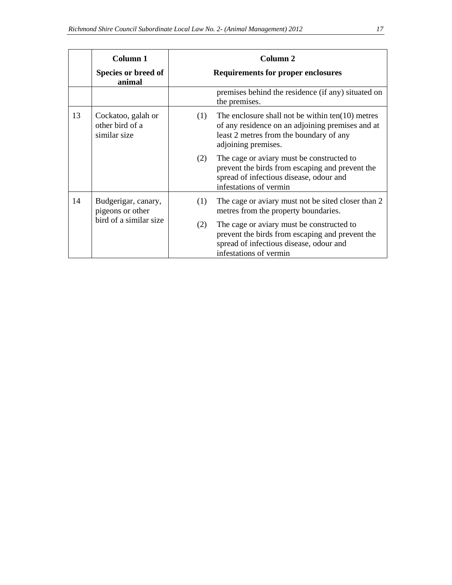|    | Column 1                                              |     | Column <sub>2</sub>                                                                                                                                                      |
|----|-------------------------------------------------------|-----|--------------------------------------------------------------------------------------------------------------------------------------------------------------------------|
|    | Species or breed of<br>animal                         |     | <b>Requirements for proper enclosures</b>                                                                                                                                |
|    |                                                       |     | premises behind the residence (if any) situated on<br>the premises.                                                                                                      |
| 13 | Cockatoo, galah or<br>other bird of a<br>similar size | (1) | The enclosure shall not be within $ten(10)$ metres<br>of any residence on an adjoining premises and at<br>least 2 metres from the boundary of any<br>adjoining premises. |
|    |                                                       | (2) | The cage or aviary must be constructed to<br>prevent the birds from escaping and prevent the<br>spread of infectious disease, odour and<br>infestations of vermin        |
| 14 | Budgerigar, canary,<br>pigeons or other               | (1) | The cage or aviary must not be sited closer than 2<br>metres from the property boundaries.                                                                               |
|    | bird of a similar size                                | (2) | The cage or aviary must be constructed to<br>prevent the birds from escaping and prevent the<br>spread of infectious disease, odour and<br>infestations of vermin        |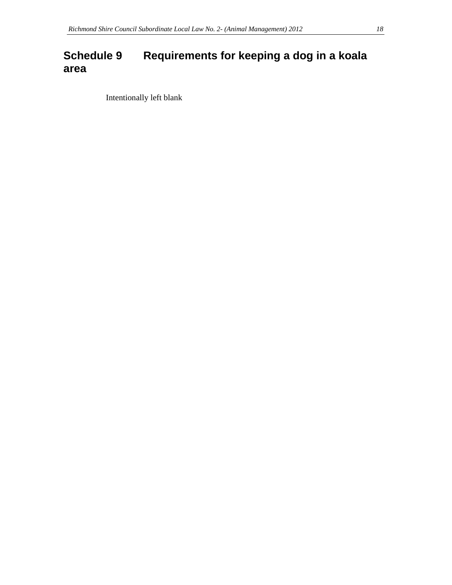## **Schedule 9 Requirements for keeping a dog in a koala area**

Intentionally left blank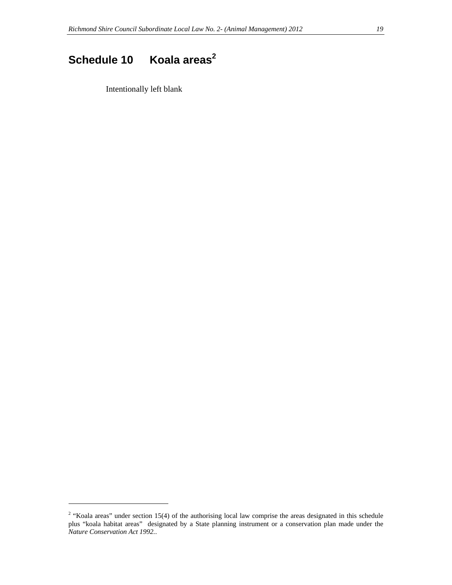# Schedule 10 Koala areas<sup>2</sup>

Intentionally left blank

l

<sup>&</sup>lt;sup>2</sup> "Koala areas" under section 15(4) of the authorising local law comprise the areas designated in this schedule plus "koala habitat areas" designated by a State planning instrument or a conservation plan made under the *Nature Conservation Act 1992.*.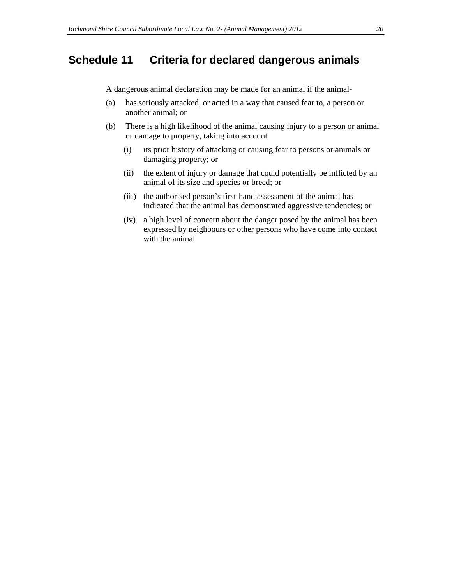### **Schedule 11 Criteria for declared dangerous animals**

A dangerous animal declaration may be made for an animal if the animal-

- (a) has seriously attacked, or acted in a way that caused fear to, a person or another animal; or
- (b) There is a high likelihood of the animal causing injury to a person or animal or damage to property, taking into account
	- (i) its prior history of attacking or causing fear to persons or animals or damaging property; or
	- (ii) the extent of injury or damage that could potentially be inflicted by an animal of its size and species or breed; or
	- (iii) the authorised person's first-hand assessment of the animal has indicated that the animal has demonstrated aggressive tendencies; or
	- (iv) a high level of concern about the danger posed by the animal has been expressed by neighbours or other persons who have come into contact with the animal